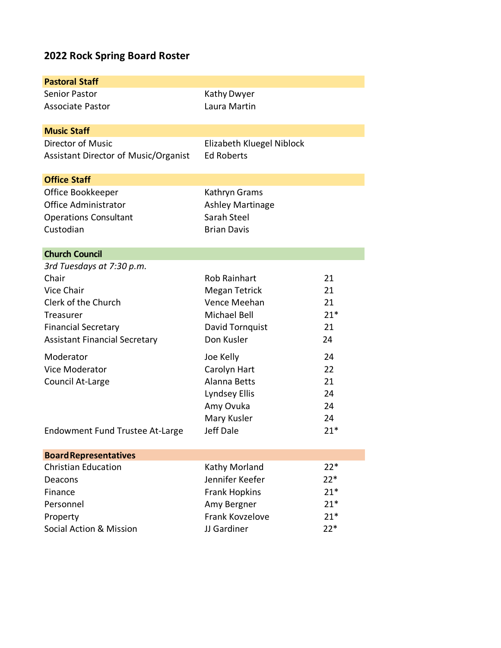# **2022 Rock Spring Board Roster**

| <b>Pastoral Staff</b>                  |                           |       |
|----------------------------------------|---------------------------|-------|
| <b>Senior Pastor</b>                   | Kathy Dwyer               |       |
| <b>Associate Pastor</b>                | Laura Martin              |       |
|                                        |                           |       |
| <b>Music Staff</b>                     |                           |       |
| Director of Music                      | Elizabeth Kluegel Niblock |       |
| Assistant Director of Music/Organist   | <b>Ed Roberts</b>         |       |
| <b>Office Staff</b>                    |                           |       |
| Office Bookkeeper                      | Kathryn Grams             |       |
| <b>Office Administrator</b>            | <b>Ashley Martinage</b>   |       |
| <b>Operations Consultant</b>           | Sarah Steel               |       |
| Custodian                              | <b>Brian Davis</b>        |       |
|                                        |                           |       |
| <b>Church Council</b>                  |                           |       |
| 3rd Tuesdays at 7:30 p.m.              |                           |       |
| Chair                                  | <b>Rob Rainhart</b>       | 21    |
| Vice Chair                             | <b>Megan Tetrick</b>      | 21    |
| Clerk of the Church                    | Vence Meehan              | 21    |
| <b>Treasurer</b>                       | <b>Michael Bell</b>       | $21*$ |
| <b>Financial Secretary</b>             | David Tornquist           | 21    |
| <b>Assistant Financial Secretary</b>   | Don Kusler                | 24    |
| Moderator                              | Joe Kelly                 | 24    |
| Vice Moderator                         | Carolyn Hart              | 22    |
| Council At-Large                       | <b>Alanna Betts</b>       | 21    |
|                                        | Lyndsey Ellis             | 24    |
|                                        | Amy Ovuka                 | 24    |
|                                        | Mary Kusler               | 24    |
| <b>Endowment Fund Trustee At-Large</b> | Jeff Dale                 | $21*$ |
| <b>Board Representatives</b>           |                           |       |
| <b>Christian Education</b>             | Kathy Morland             | $22*$ |
| Deacons                                | Jennifer Keefer           | $22*$ |
| Finance                                | <b>Frank Hopkins</b>      | $21*$ |
| Personnel                              | Amy Bergner               | $21*$ |
| Property                               | Frank Kovzelove           | $21*$ |
| Social Action & Mission                | JJ Gardiner               | $22*$ |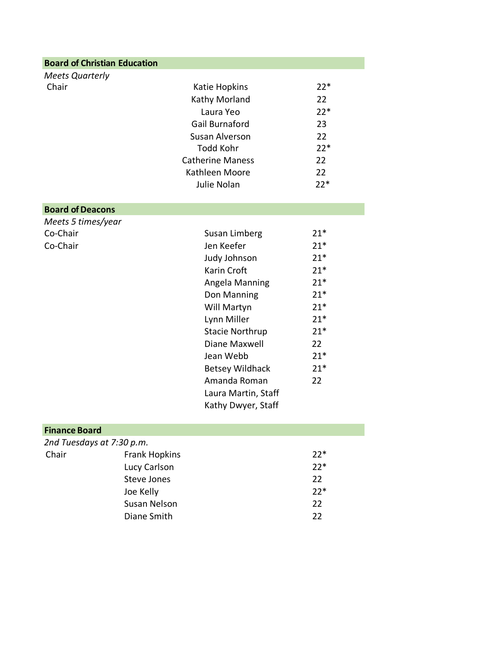| <b>Board of Christian Education</b> |                         |       |
|-------------------------------------|-------------------------|-------|
| <b>Meets Quarterly</b>              |                         |       |
| Chair                               | Katie Hopkins           | $22*$ |
|                                     | Kathy Morland           | 22    |
|                                     | Laura Yeo               | $22*$ |
|                                     | Gail Burnaford          | 23    |
|                                     | Susan Alverson          | 22    |
|                                     | Todd Kohr               | $22*$ |
|                                     | <b>Catherine Maness</b> | 22    |
|                                     | Kathleen Moore          | 22    |
|                                     | Julie Nolan             | $22*$ |

#### **Board of Deacons**

*Meets 5 times/year* Co-Chair Co-Chair

| Susan Limberg          | $21*$ |
|------------------------|-------|
| Jen Keefer             | $21*$ |
| Judy Johnson           | $21*$ |
| Karin Croft            | $21*$ |
| Angela Manning         | $21*$ |
| Don Manning            | $21*$ |
| Will Martyn            | $21*$ |
| Lynn Miller            | $21*$ |
| <b>Stacie Northrup</b> | $21*$ |
| Diane Maxwell          | 22    |
| Jean Webb              | $21*$ |
| <b>Betsey Wildhack</b> | $21*$ |
| Amanda Roman           | 22    |
| Laura Martin, Staff    |       |
| Kathy Dwyer, Staff     |       |

#### **Finance Board**

| 2nd Tuesdays at 7:30 p.m. |                      |       |
|---------------------------|----------------------|-------|
| Chair                     | <b>Frank Hopkins</b> | $22*$ |
|                           | Lucy Carlson         | $22*$ |
|                           | Steve Jones          | 22    |
|                           | Joe Kelly            | $22*$ |
|                           | Susan Nelson         | 22    |
|                           | Diane Smith          | 22    |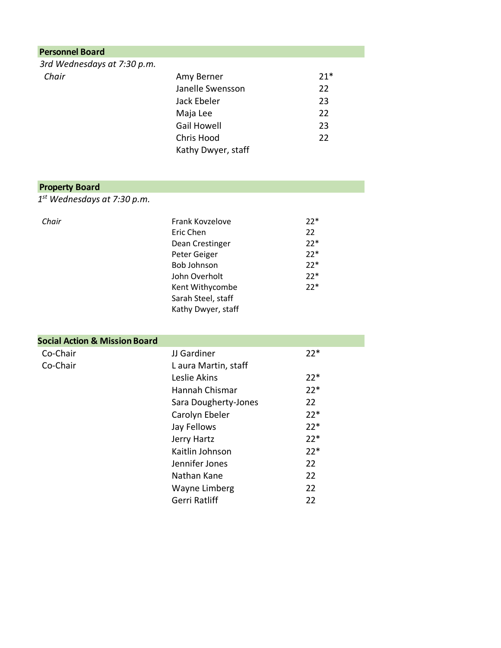| <b>Personnel Board</b>      |                    |       |
|-----------------------------|--------------------|-------|
| 3rd Wednesdays at 7:30 p.m. |                    |       |
| Chair                       | Amy Berner         | $21*$ |
|                             | Janelle Swensson   | 22    |
|                             | Jack Ebeler        | 23    |
|                             | Maja Lee           | 22    |
|                             | <b>Gail Howell</b> | 23    |
|                             | Chris Hood         | 22    |
|                             | Kathy Dwyer, staff |       |

## **Property Board**

*1st Wednesdays at 7:30 p.m.*

| Chair | Frank Kovzelove    | $22*$ |
|-------|--------------------|-------|
|       | Eric Chen          | 22    |
|       | Dean Crestinger    | $22*$ |
|       | Peter Geiger       | $22*$ |
|       | <b>Bob Johnson</b> | $22*$ |
|       | John Overholt      | $22*$ |
|       | Kent Withycombe    | $22*$ |
|       | Sarah Steel, staff |       |
|       | Kathy Dwyer, staff |       |

### **Social Action & Mission Board**

| Co-Chair | JJ Gardiner          | $22*$ |
|----------|----------------------|-------|
| Co-Chair | L aura Martin, staff |       |
|          | Leslie Akins         | $22*$ |
|          | Hannah Chismar       | $22*$ |
|          | Sara Dougherty-Jones | 22    |
|          | Carolyn Ebeler       | $22*$ |
|          | Jay Fellows          | $22*$ |
|          | Jerry Hartz          | $22*$ |
|          | Kaitlin Johnson      | $22*$ |
|          | Jennifer Jones       | 22    |
|          | Nathan Kane          | 22    |
|          | Wayne Limberg        | 22    |
|          | Gerri Ratliff        | 22    |